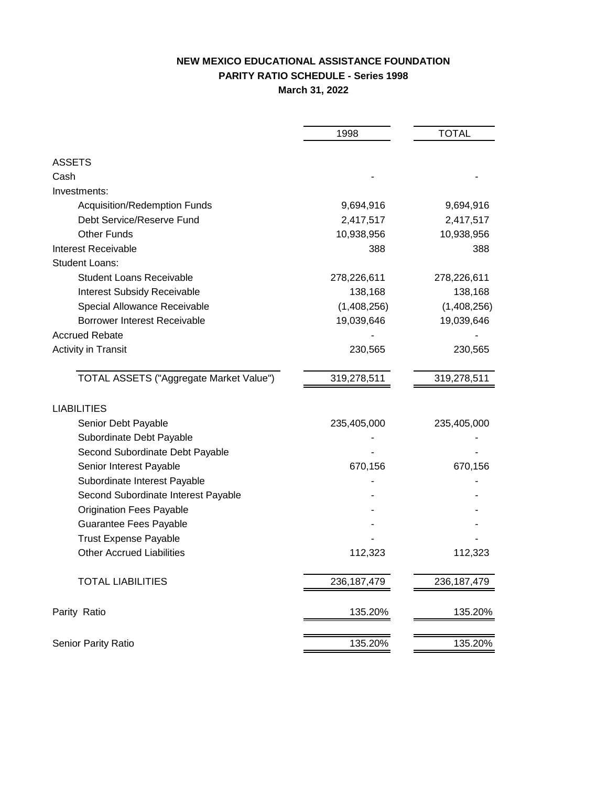# **NEW MEXICO EDUCATIONAL ASSISTANCE FOUNDATION PARITY RATIO SCHEDULE - Series 1998 March 31, 2022**

|                                         | 1998          | <b>TOTAL</b>  |
|-----------------------------------------|---------------|---------------|
|                                         |               |               |
| <b>ASSETS</b>                           |               |               |
| Cash                                    |               |               |
| Investments:                            |               |               |
| Acquisition/Redemption Funds            | 9,694,916     | 9,694,916     |
| Debt Service/Reserve Fund               | 2,417,517     | 2,417,517     |
| <b>Other Funds</b>                      | 10,938,956    | 10,938,956    |
| <b>Interest Receivable</b>              | 388           | 388           |
| <b>Student Loans:</b>                   |               |               |
| <b>Student Loans Receivable</b>         | 278,226,611   | 278,226,611   |
| <b>Interest Subsidy Receivable</b>      | 138,168       | 138,168       |
| Special Allowance Receivable            | (1,408,256)   | (1,408,256)   |
| <b>Borrower Interest Receivable</b>     | 19,039,646    | 19,039,646    |
| <b>Accrued Rebate</b>                   |               |               |
| <b>Activity in Transit</b>              | 230,565       | 230,565       |
| TOTAL ASSETS ("Aggregate Market Value") | 319,278,511   | 319,278,511   |
| <b>LIABILITIES</b>                      |               |               |
| Senior Debt Payable                     | 235,405,000   | 235,405,000   |
| Subordinate Debt Payable                |               |               |
| Second Subordinate Debt Payable         |               |               |
| Senior Interest Payable                 | 670,156       | 670,156       |
| Subordinate Interest Payable            |               |               |
| Second Subordinate Interest Payable     |               |               |
| <b>Origination Fees Payable</b>         |               |               |
| Guarantee Fees Payable                  |               |               |
| <b>Trust Expense Payable</b>            |               |               |
| <b>Other Accrued Liabilities</b>        | 112,323       | 112,323       |
| <b>TOTAL LIABILITIES</b>                | 236, 187, 479 | 236, 187, 479 |
| Parity Ratio                            | 135.20%       | 135.20%       |
| Senior Parity Ratio                     | 135.20%       | 135.20%       |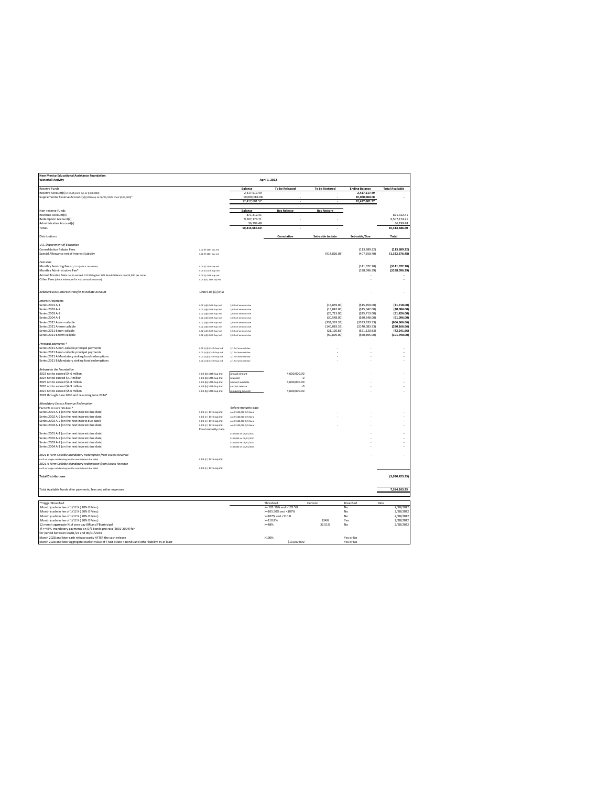| New Mexico Educational Assistance Foundation<br><b>Waterfall Activity</b>                           |                                                      |                                                    | April 1, 2022          |                            |                                |                            |
|-----------------------------------------------------------------------------------------------------|------------------------------------------------------|----------------------------------------------------|------------------------|----------------------------|--------------------------------|----------------------------|
| Reserve Funds                                                                                       |                                                      | Balance                                            | To be Released         | To be Restored             | <b>Ending Balance</b>          | <b>Total Available</b>     |
| Reserve Account(s) (>1%of princ o/s or \$300,000)                                                   |                                                      | 2 417 517 49                                       |                        |                            | 2.417.517.49                   |                            |
| Supplemental Reserve Account(s) (\$10m up to 06/01/2023 then \$500,000)*                            |                                                      | 10,000,084.08                                      |                        |                            | 10,000,084.08                  |                            |
|                                                                                                     |                                                      | 12,417,601.57                                      |                        |                            | 12,417,601.57                  |                            |
|                                                                                                     |                                                      |                                                    |                        |                            |                                |                            |
| Non-reserve Funds                                                                                   |                                                      | Balance                                            | <b>Res Release</b>     | <b>Res Restore</b>         |                                |                            |
| Revenue Account(s)<br>Redemption Account(s)                                                         |                                                      | 871,312.41                                         |                        |                            |                                | 871,312.41                 |
| Administrative Account(s)                                                                           |                                                      | 9.507.174.71<br>36,199.48                          |                        |                            |                                | 9,507,174.71<br>36,199.48  |
| Totals                                                                                              |                                                      | 10.414.686.60                                      |                        |                            |                                | 10,414,686.60              |
|                                                                                                     |                                                      |                                                    |                        |                            |                                |                            |
| Distributions                                                                                       |                                                      |                                                    | Cumulative             | Set-aside to date          | Set-aside/Due                  | Total                      |
|                                                                                                     |                                                      |                                                    |                        |                            |                                |                            |
| U.S. Department of Education                                                                        |                                                      |                                                    |                        |                            |                                |                            |
| Consolidation Rebate Fees                                                                           | 4.02 (f) 14th Sup Ind                                |                                                    |                        |                            | (113.689.22)                   | (113, 689.22)              |
| Special Allowance net of Interest Subsidy                                                           | 4.02 (f) 14th Sup Ind                                |                                                    |                        | (914, 826.08)              | (407, 550.40)                  | (1,322,376.48)             |
| Fees Due                                                                                            |                                                      |                                                    |                        |                            |                                |                            |
| Monthly Servicing Fees (1/12 x (.60% x Loan Princ)                                                  | 4.04 (i) 14th sup ind                                |                                                    |                        |                            | (141 072 28)                   | (\$141,072.28)             |
| Monthly Administrative Fee*                                                                         | 4.04 (ii) 14th sup ind                               |                                                    |                        |                            | (188,096.39)                   | ( \$188,096.39)            |
| Annual Trustee Fees not to exceed .0125% highest O/S Bonds Balance min \$5,000 per series           | 4.04 (x) 14th sup ind                                |                                                    |                        |                            |                                |                            |
| Other Fees (check indenture for max annual amounts)                                                 | 4.04 (y-z) 14th Sup ind                              |                                                    |                        |                            |                                | ×                          |
|                                                                                                     |                                                      |                                                    |                        |                            |                                |                            |
|                                                                                                     |                                                      |                                                    |                        |                            |                                |                            |
| Rebate/Excess Interest transfer to Rebate Account                                                   | 1998 5.03 (a) (iv) A                                 |                                                    |                        |                            |                                |                            |
|                                                                                                     |                                                      |                                                    |                        |                            |                                |                            |
| <b>Interest Payments</b>                                                                            |                                                      |                                                    |                        |                            |                                |                            |
| Series 2001 A-1                                                                                     | 4.02 (a)(i) 14th Sup Ind                             | 1/6th of amount due<br>1/6th of amount due         |                        | (15.859.00)                | (\$15,859,00)<br>(\$15,042.00] | (31.718.00)<br>(30,084.00) |
| Series 2002 A-2<br>Series 2003 A-2<br>Series 2004 A-1                                               | 4.02 (a)(i) 14th Sup Ind<br>4.02 (a)(i) 14th Sup Ind | 1/8th of amount due                                |                        | (15,042.00)<br>(25.713.00) | (\$25.713.00)                  | (51, 426.00)               |
|                                                                                                     | 4.02 (a)(i) 14th Sup Ind                             | 1/6th of amount due                                |                        | (30, 548.00)               | ( \$30, \$48.00)               | (61,096.00)                |
|                                                                                                     | 4.02 (ald) 14th San Ind.                             | 1/dah of amount due                                |                        | (333 333 33)               | (5333 333 33)                  | (88.888.888)               |
| Series 2021 A non-callable<br>Series 2021 A term callable                                           | 4.02 (a)(i) 14th Sup Ind                             | 1/6th of amount due                                |                        | (140, 083.33)              | (5140, 083.33)                 | (280, 166.66)              |
|                                                                                                     | 4.02 (a)(i) 14th Sup Ind                             | 1/6th of amount due                                |                        | (21.120.83)                | (521, 120.83)                  | (42, 241.66)               |
| Series 2021 B non-callable<br>Series 2021 B term callable                                           | 4.02 (a)(i) 14th Sup Ind                             | 1/6th of amount due                                |                        | (50, 895.00)               | ( \$50, 895.00]                | (101,790.00)               |
|                                                                                                     |                                                      |                                                    |                        |                            |                                |                            |
| Principal payments *<br>Series 2021 A non-callable principal payments                               |                                                      |                                                    |                        |                            |                                |                            |
|                                                                                                     | 4.02 (a) (ii) 14th Sup Ind                           | 1/12 of amount due                                 |                        |                            |                                |                            |
| Series 2021 B non-callable principal payments                                                       | 4.02 (a) (ii) 14th Sup ind                           | 1/12 of amount due                                 |                        |                            |                                | ٠                          |
| Series 2021 A Mandatory sinking fund redemptions                                                    | 4.02 (a) (ii) 14th Sup ind                           | 1/12 of amount due                                 |                        |                            |                                |                            |
| Series 2021 B Mandatory sinking fund redemptions                                                    | 4.02 (a) (ii) 14th Sup Ind                           | 1/12 of amount due                                 |                        |                            |                                | ×                          |
|                                                                                                     |                                                      |                                                    |                        |                            |                                |                            |
| Release to the Foundation<br>2023 not to exceed \$4.6 million                                       |                                                      | Annual amount                                      |                        |                            |                                |                            |
| 2024 not to excced \$4.7 million                                                                    | 4.03 (b) 14th Sup Ind<br>4.03 (b) 14th Sup Ind       |                                                    | 4,600,000.00<br>-0     |                            |                                |                            |
| 2025 not to exceed \$4.8 million                                                                    | 4.03 (b) 14th Sup Ind                                | bassalan<br>mount available                        | 4.600.000.00           |                            |                                | ×                          |
| 2026 not to exceed \$4.9 million                                                                    | 4.03 (b) 14th Sup Ind                                | current release                                    | $\overline{a}$         |                            |                                | ×                          |
| 2027 not to exceed \$5.0 million                                                                    | 4.03 (b) 14th Sup Ind                                | emaining amount                                    | 4,600,000.00           |                            |                                |                            |
| 2028 through June 2030 and resuming June 2034*                                                      |                                                      |                                                    |                        |                            |                                |                            |
|                                                                                                     |                                                      |                                                    |                        |                            |                                |                            |
| Mandatory Excess Revenue Redemption                                                                 |                                                      |                                                    |                        |                            |                                |                            |
| Payments on a pro-rata basis *                                                                      |                                                      | Before maturity date                               |                        |                            |                                |                            |
| Series 2001 A-1 (on the next interest due date)                                                     | 4.03 (c) 14th sup ind                                | until \$100,000 0/5 Bond                           |                        |                            |                                |                            |
| Series 2002 A-2 (on the next interest due date)                                                     | 4.03 (c) 14th sup ind                                | until \$100,000 0/5 Bond                           |                        |                            |                                |                            |
| Series 2003 A-2 (on the next interst due date)                                                      | 4.03 (c) 14th sup ind                                | until \$100,000 0/5 Bond                           |                        |                            |                                | ä,                         |
| Series 2004 A-1 (on the next interest due date)                                                     | 4.03 (c) 14th sup ind                                | until \$100,000 0/S Bond                           |                        |                            |                                |                            |
|                                                                                                     | Final maturity date                                  |                                                    |                        |                            |                                |                            |
| Series 2001 A-1 (on the next interest due date)<br>Series 2002 A-2 (on the next interest due date)  |                                                      | \$100,000 on 09/01/2031                            |                        |                            |                                |                            |
|                                                                                                     |                                                      | \$100,000 on 09/01/2012                            |                        |                            |                                |                            |
| Series 2003 A-2 (on the next interest due date)<br>Series 2004 A-1 (on the next interest due date)  |                                                      | \$100,000 on 09/01/2033<br>\$100,000 on 04/01/2014 |                        |                            |                                |                            |
|                                                                                                     |                                                      |                                                    |                        |                            |                                |                            |
| 2021 B Term Callable Mandatory Redemption from Excess Revenue                                       |                                                      |                                                    |                        |                            |                                |                            |
| until no longer outstanding (on the next interest due date)                                         | 4.03 (c) 14th sup ind                                |                                                    |                        |                            |                                |                            |
| 2021 A Term Callable Mandatory redemption from Excess Revenue                                       |                                                      |                                                    |                        |                            |                                |                            |
| until no longer outstanding (on the next interest due date                                          | 4.03 (c) 14th sup ind                                |                                                    |                        |                            |                                |                            |
|                                                                                                     |                                                      |                                                    |                        |                            |                                |                            |
| <b>Total Distributions</b>                                                                          |                                                      |                                                    |                        |                            |                                | (3,030,423.35)             |
|                                                                                                     |                                                      |                                                    |                        |                            |                                |                            |
|                                                                                                     |                                                      |                                                    |                        |                            |                                | 7,384,263.25               |
| Total Available Funds after payments, fees and other expenses                                       |                                                      |                                                    |                        |                            |                                |                            |
|                                                                                                     |                                                      |                                                    |                        |                            |                                |                            |
| *Trigger Breached                                                                                   |                                                      |                                                    | Threshold              | Current                    | Breached                       | Date                       |
| Monthly admin fee of 1/12 X (.20% X Princ)                                                          |                                                      |                                                    | >= 102.50% and <105.5% |                            | No                             | 2/28/2022                  |
| Monthly admin fee of 1/12 X (.50% X Princ)                                                          |                                                      |                                                    | >=105.50% and <107%    |                            | No                             | 2/28/2022                  |
| Monthly admin fee of 1/12 X (.70% X Princ)                                                          |                                                      |                                                    | $> = 107%$ and <110.8  |                            | No                             | 2/28/2022                  |
| Monthly admin fee of 1/12 X (.80% X Princ)                                                          |                                                      |                                                    | > 110.8%               | 134%                       | Yes                            | 2/28/2022                  |
| 12 month aggregate % of zero pay IBR and FB principal                                               |                                                      |                                                    | $>=48%$                | 32.51%                     | No                             | 2/28/2022                  |
| if >=48% mandatory payments on O/S bonds pro rata (2001-2004) for                                   |                                                      |                                                    |                        |                            |                                |                            |
| for period between 06/01/23 and 06/01/2034                                                          |                                                      |                                                    |                        |                            |                                |                            |
| March 2028 and later cash release parity AFTER the cash release                                     |                                                      |                                                    | >130%                  |                            | Yes or No                      |                            |
| March 2028 and later Aggregate Market Value of Trust Estate > Bonds and other liability by at least |                                                      |                                                    | \$10,000,000           |                            | Yes or No                      |                            |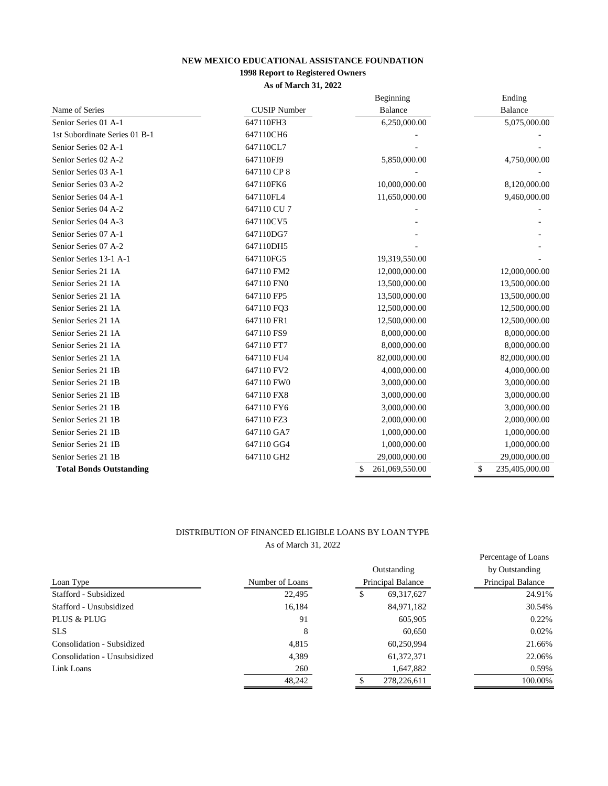# **NEW MEXICO EDUCATIONAL ASSISTANCE FOUNDATION**

# **1998 Report to Registered Owners**

**As of March 31, 2022**

|                                |                     | Beginning                      | Ending               |
|--------------------------------|---------------------|--------------------------------|----------------------|
| Name of Series                 | <b>CUSIP</b> Number | <b>Balance</b>                 | Balance              |
| Senior Series 01 A-1           | 647110FH3           | 6,250,000.00                   | 5,075,000.00         |
| 1st Subordinate Series 01 B-1  | 647110CH6           |                                |                      |
| Senior Series 02 A-1           | 647110CL7           |                                |                      |
| Senior Series 02 A-2           | 647110FJ9           | 5,850,000.00                   | 4,750,000.00         |
| Senior Series 03 A-1           | 647110 CP 8         |                                |                      |
| Senior Series 03 A-2           | 647110FK6           | 10,000,000.00                  | 8,120,000.00         |
| Senior Series 04 A-1           | 647110FL4           | 11,650,000.00                  | 9,460,000.00         |
| Senior Series 04 A-2           | 647110 CU 7         |                                |                      |
| Senior Series 04 A-3           | 647110CV5           |                                |                      |
| Senior Series 07 A-1           | 647110DG7           |                                |                      |
| Senior Series 07 A-2           | 647110DH5           |                                |                      |
| Senior Series 13-1 A-1         | 647110FG5           | 19,319,550.00                  |                      |
| Senior Series 21 1A            | 647110 FM2          | 12,000,000.00                  | 12,000,000.00        |
| Senior Series 21 1A            | 647110 FN0          | 13,500,000.00                  | 13,500,000.00        |
| Senior Series 21 1A            | 647110 FP5          | 13,500,000.00                  | 13,500,000.00        |
| Senior Series 21 1A            | 647110 FO3          | 12,500,000.00                  | 12,500,000.00        |
| Senior Series 21 1A            | 647110 FR1          | 12,500,000.00                  | 12,500,000.00        |
| Senior Series 21 1A            | 647110 FS9          | 8,000,000.00                   | 8,000,000.00         |
| Senior Series 21 1A            | 647110 FT7          | 8,000,000.00                   | 8,000,000.00         |
| Senior Series 21 1A            | 647110 FU4          | 82,000,000.00                  | 82,000,000.00        |
| Senior Series 21 1B            | 647110 FV2          | 4,000,000.00                   | 4,000,000.00         |
| Senior Series 21 1B            | 647110 FW0          | 3,000,000.00                   | 3,000,000.00         |
| Senior Series 21 1B            | 647110 FX8          | 3,000,000.00                   | 3,000,000.00         |
| Senior Series 21 1B            | 647110 FY6          | 3,000,000.00                   | 3,000,000.00         |
| Senior Series 21 1B            | 647110 FZ3          | 2,000,000.00                   | 2,000,000.00         |
| Senior Series 21 1B            | 647110 GA7          | 1,000,000.00                   | 1,000,000.00         |
| Senior Series 21 1B            | 647110 GG4          | 1,000,000.00                   | 1,000,000.00         |
| Senior Series 21 1B            | 647110 GH2          | 29,000,000.00                  | 29,000,000.00        |
| <b>Total Bonds Outstanding</b> |                     | 261,069,550.00<br><sup>S</sup> | 235,405,000.00<br>\$ |

## DISTRIBUTION OF FINANCED ELIGIBLE LOANS BY LOAN TYPE As of March 31, 2022

|                              |                 |                   |              | Percentage of Loans |  |
|------------------------------|-----------------|-------------------|--------------|---------------------|--|
|                              |                 |                   | Outstanding  | by Outstanding      |  |
| Loan Type                    | Number of Loans | Principal Balance |              | Principal Balance   |  |
| Stafford - Subsidized        | 22,495          | \$                | 69, 317, 627 | 24.91%              |  |
| Stafford - Unsubsidized      | 16,184          | 84,971,182        |              | 30.54%              |  |
| PLUS & PLUG                  | 91              |                   | 605,905      | $0.22\%$            |  |
| <b>SLS</b>                   | 8               |                   | 60,650       | 0.02%               |  |
| Consolidation - Subsidized   | 4,815           |                   | 60.250.994   | 21.66%              |  |
| Consolidation - Unsubsidized | 4,389           |                   | 61, 372, 371 | 22.06%              |  |
| Link Loans                   | 260             |                   | 1,647,882    | 0.59%               |  |
|                              | 48.242          |                   | 278,226,611  | 100.00%             |  |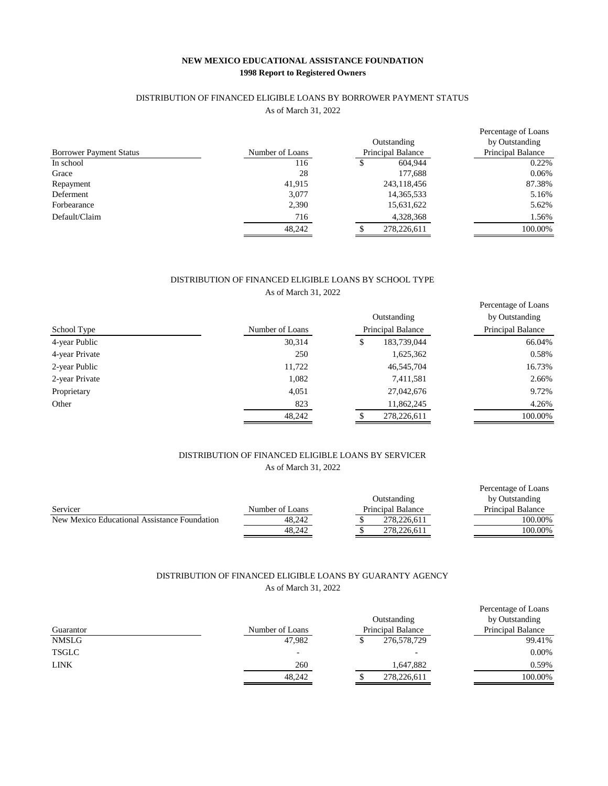## **NEW MEXICO EDUCATIONAL ASSISTANCE FOUNDATION 1998 Report to Registered Owners**

### DISTRIBUTION OF FINANCED ELIGIBLE LOANS BY BORROWER PAYMENT STATUS

As of March 31, 2022

|                                |                 |                          |              | Percentage of Loans |
|--------------------------------|-----------------|--------------------------|--------------|---------------------|
|                                |                 | Outstanding              |              | by Outstanding      |
| <b>Borrower Payment Status</b> | Number of Loans | <b>Principal Balance</b> |              | Principal Balance   |
| In school                      | 116             |                          | 604,944      | 0.22%               |
| Grace                          | 28              | 177,688                  |              | 0.06%               |
| Repayment                      | 41,915          | 243,118,456              |              | 87.38%              |
| Deferment                      | 3.077           |                          | 14, 365, 533 | 5.16%               |
| Forbearance                    | 2,390           |                          | 15,631,622   | 5.62%               |
| Default/Claim                  | 716             |                          | 4,328,368    | 1.56%               |
|                                | 48.242          | 278,226,611              |              | 100.00%             |

## As of March 31, 2022 DISTRIBUTION OF FINANCED ELIGIBLE LOANS BY SCHOOL TYPE

| School Type    | Number of Loans | Outstanding<br>Principal Balance | Percentage of Loans<br>by Outstanding<br>Principal Balance |
|----------------|-----------------|----------------------------------|------------------------------------------------------------|
| 4-year Public  | 30,314          | 183,739,044<br>\$                | 66.04%                                                     |
| 4-year Private | 250             | 1,625,362                        | 0.58%                                                      |
| 2-year Public  | 11,722          | 46,545,704                       | 16.73%                                                     |
| 2-year Private | 1,082           | 7,411,581                        | 2.66%                                                      |
| Proprietary    | 4,051           | 27,042,676                       | 9.72%                                                      |
| Other          | 823             | 11,862,245                       | 4.26%                                                      |
|                | 48,242          | 278,226,611                      | 100.00%                                                    |

# DISTRIBUTION OF FINANCED ELIGIBLE LOANS BY SERVICER As of March 31, 2022

|                                              |                 |                          | Percentage of Loans      |
|----------------------------------------------|-----------------|--------------------------|--------------------------|
|                                              |                 | Outstanding              | by Outstanding           |
| Servicer                                     | Number of Loans | <b>Principal Balance</b> | <b>Principal Balance</b> |
| New Mexico Educational Assistance Foundation | 48.242          | 278.226.611              | 100.00%                  |
|                                              | 48.242          | 278,226,611              | 100.00%                  |

# DISTRIBUTION OF FINANCED ELIGIBLE LOANS BY GUARANTY AGENCY As of March 31, 2022

| Guarantor    | Number of Loans          | Outstanding<br>Principal Balance | Percentage of Loans<br>by Outstanding<br>Principal Balance |
|--------------|--------------------------|----------------------------------|------------------------------------------------------------|
| <b>NMSLG</b> | 47,982                   | 276,578,729                      | 99.41%                                                     |
| <b>TSGLC</b> | $\overline{\phantom{0}}$ |                                  | 0.00%                                                      |
| LINK         | 260                      | 1,647,882                        | 0.59%                                                      |
|              | 48,242                   | 278,226,611                      | 100.00%                                                    |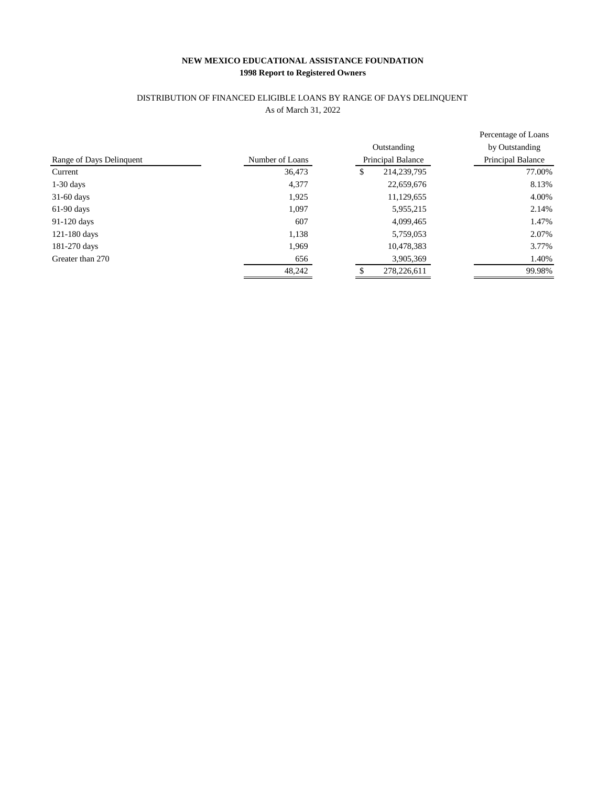# **NEW MEXICO EDUCATIONAL ASSISTANCE FOUNDATION 1998 Report to Registered Owners**

# As of March 31, 2022 DISTRIBUTION OF FINANCED ELIGIBLE LOANS BY RANGE OF DAYS DELINQUENT

|                          |                 |                   | Percentage of Loans |
|--------------------------|-----------------|-------------------|---------------------|
|                          |                 | Outstanding       | by Outstanding      |
| Range of Days Delinquent | Number of Loans | Principal Balance | Principal Balance   |
| Current                  | 36,473          | 214,239,795<br>\$ | 77.00%              |
| $1-30$ days              | 4,377           | 22,659,676        | 8.13%               |
| $31-60$ days             | 1,925           | 11,129,655        | 4.00%               |
| $61-90$ days             | 1.097           | 5,955,215         | 2.14%               |
| 91-120 days              | 607             | 4,099,465         | 1.47%               |
| 121-180 days             | 1,138           | 5,759,053         | 2.07%               |
| 181-270 days             | 1,969           | 10,478,383        | 3.77%               |
| Greater than 270         | 656             | 3,905,369         | 1.40%               |
|                          | 48,242          | 278,226,611       | 99.98%              |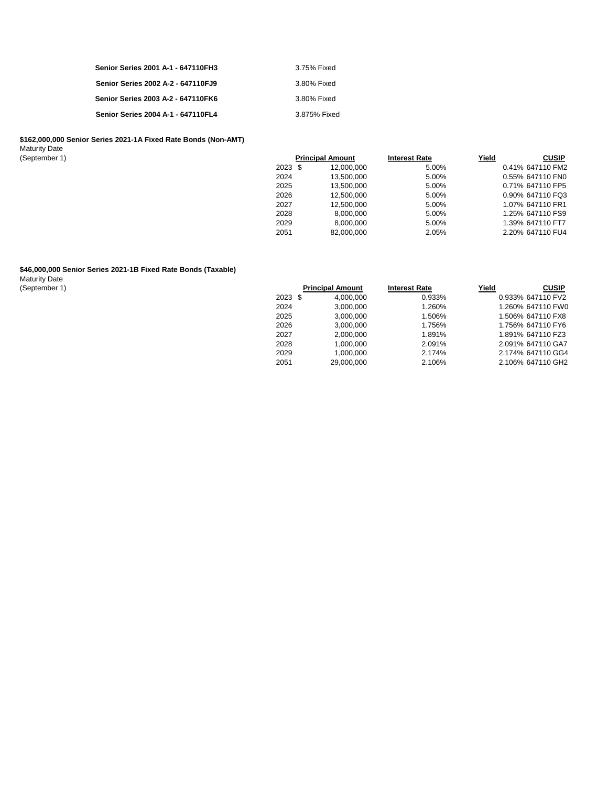| Senior Series 2001 A-1 - 647110FH3 | 3.75% Fixed  |
|------------------------------------|--------------|
| Senior Series 2002 A-2 - 647110FJ9 | 3.80% Fixed  |
| Senior Series 2003 A-2 - 647110FK6 | 3.80% Fixed  |
| Senior Series 2004 A-1 - 647110FL4 | 3.875% Fixed |

#### **\$162,000,000 Senior Series 2021-1A Fixed Rate Bonds (Non-AMT)**

Maturity Date

| (September 1) |         | <b>Principal Amount</b> | <b>Interest Rate</b> | Yield | <b>CUSIP</b>     |
|---------------|---------|-------------------------|----------------------|-------|------------------|
|               | 2023 \$ | 12,000,000              | 5.00%                |       | 0.41% 647110 FM2 |
|               | 2024    | 13.500.000              | 5.00%                |       | 0.55% 647110 FN0 |
|               | 2025    | 13.500.000              | 5.00%                |       | 0.71% 647110 FP5 |
|               | 2026    | 12.500.000              | 5.00%                |       | 0.90% 647110 FQ3 |
|               | 2027    | 12.500.000              | 5.00%                |       | 1.07% 647110 FR1 |
|               | 2028    | 8.000.000               | 5.00%                |       | 1.25% 647110 FS9 |
|               | 2029    | 8.000.000               | 5.00%                |       | 1.39% 647110 FT7 |
|               | 2051    | 82.000.000              | 2.05%                |       | 2.20% 647110 FU4 |

#### **\$46,000,000 Senior Series 2021-1B Fixed Rate Bonds (Taxable)**

Maturity Date

| (September 1 |  |  |  |
|--------------|--|--|--|
|--------------|--|--|--|

| (September 1) |         | <b>Principal Amount</b> | <b>Interest Rate</b> | Yield | <b>CUSIP</b>      |
|---------------|---------|-------------------------|----------------------|-------|-------------------|
|               | 2023 \$ | 4.000.000               | 0.933%               |       | 0.933% 647110 FV2 |
| 2024          |         | 3,000,000               | 1.260%               |       | 1.260% 647110 FW0 |
| 2025          |         | 3.000.000               | 1.506%               |       | 1.506% 647110 FX8 |
| 2026          |         | 3.000.000               | 1.756%               |       | 1.756% 647110 FY6 |
| 2027          |         | 2.000.000               | 1.891%               |       | 1.891% 647110 FZ3 |
| 2028          |         | 1.000.000               | 2.091%               |       | 2.091% 647110 GA7 |
| 2029          |         | 1.000.000               | 2.174%               |       | 2.174% 647110 GG4 |
| 2051          |         | 29,000,000              | 2.106%               |       | 2.106% 647110 GH2 |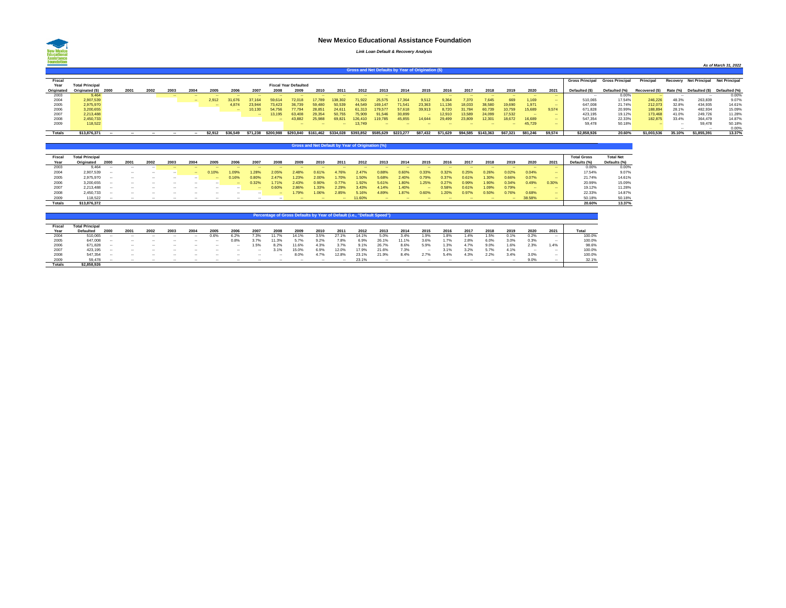### **New Mexico Educational Assistance Foundation**

### *Link Loan Default & Recovery Analysis*

|               |                                                    |      |      |      |      |        |         |          |          |           |                              |                     |        |           |           |           |          |          |          |           |          |          |             |                        |                        |                |          |                      | As of March 31, 2022 |
|---------------|----------------------------------------------------|------|------|------|------|--------|---------|----------|----------|-----------|------------------------------|---------------------|--------|-----------|-----------|-----------|----------|----------|----------|-----------|----------|----------|-------------|------------------------|------------------------|----------------|----------|----------------------|----------------------|
|               | Gross and Net Defaults by Year of Origination (\$) |      |      |      |      |        |         |          |          |           |                              |                     |        |           |           |           |          |          |          |           |          |          |             |                        |                        |                |          |                      |                      |
| Fisca         |                                                    |      |      |      |      |        |         |          |          |           |                              |                     |        |           |           |           |          |          |          |           |          |          |             | <b>Gross Principal</b> | <b>Gross Principal</b> | Principal      | Recovery | <b>Net Principal</b> | <b>Net Principal</b> |
| Year          | <b>Total Principal</b>                             |      |      |      |      |        |         |          |          |           | <b>Fiscal Year Defaulted</b> |                     |        |           |           |           |          |          |          |           |          |          |             |                        |                        |                |          |                      |                      |
| Originated    | Originated (\$)                                    | 2000 | 2001 | 2002 | 2003 | 2004   | 2005    | 2006     | 2007     | 2008      | 2009                         | 2010                | 2011   | 2012      | 2013      | 2014      | 2015     | 2016     | 2017     | 2018      | 2019     | 2020     | 2021        | Defaulted (\$)         | Defaulted (%)          | Recovered (\$) | Rate (%) | Defaulted (\$)       | Defaulted (%)        |
| 2003          | 9.464                                              |      |      |      | 1994 | -      | -       |          |          |           |                              |                     |        |           | - -       |           |          | $\sim$   |          |           | -        | -        |             |                        | 0.00%                  |                |          | $\sim$               | 0.00%                |
| 2004          | 2.907.539                                          |      |      |      |      | $\sim$ | 2.912   | 676      | 7 164    |           |                              | 7789                |        |           | 25.575    | 7.364     | 9.512    | 1.364    | '.370    | 7.645     | 669      | 1.169    | <b>CONT</b> | 510.065                | 17.54%                 | 246.226        | 48.3%    | 263,839              | 9.07%                |
| 2005          | 2.975.970                                          |      |      |      |      |        | $\sim$  | 4.874    | 23.944   | 73 423    | 36 739                       | 59,480              | 50.539 | 44.549    | 169.147   | 71.541    | 23.363   | 11.136   | 18,033   | 38,580    | 19,690   | 1.971    | <b>CONT</b> | 647.008                | 21.74%                 | 212.073        | 32.8%    | 434.935              | 14.61%               |
| 2006          | 3.200.655                                          |      |      |      |      |        |         | -        | (0.130)  | 54.756    | 7 7 9 4                      | 28.85 <sup>*</sup>  | 24.61  |           | 70.57     | 57.618    | 39.913   | 3720     | 31 784   | 60.739    | 10.759   | 15.689   | 9.574       | 671.828                | 20.99%                 | 188,894        | 28.1%    | 482.934              | 15.09%               |
| 2007          | 2.213.488                                          |      |      |      |      |        |         |          | -        | 3.195     | 63.408                       | 29.354              |        | 5.909.    | 91.546    | 30,899    | $\sim$   | 2910     | 13.589   | 24.099    | 17.532   |          |             | 423.195                | 19.12%                 | 173.468        | 41.0%    | 249,726              | 11.28%               |
| 2008          | 2.450.733                                          |      |      |      |      |        |         |          |          | -         | 43.882                       | 25,988              | 69.821 | 126,410   | 19.785    | 45,855    | 14.644   | 29,499   | 23,809   | 12,301    | 18,672   | 16,689   | <b>CONT</b> | 547.354                | 22.33%                 | 182.875        | 33.4%    | 364,479              | 14.87%               |
| 2009          | 118,522                                            |      |      |      |      |        |         |          |          |           | -                            |                     | -      | 13.749    | - -       |           |          | $\sim$   |          | $\sim$    | -        | 45.729   | <b>CONT</b> | 59,478                 | 50.18%                 |                | $\sim$   | 59,478               | 50.18%               |
|               |                                                    |      |      |      |      |        |         |          |          |           |                              |                     |        |           |           |           |          |          |          |           |          |          |             |                        |                        |                |          |                      | 0.00%                |
| <b>Totals</b> | \$13,876,371                                       |      |      |      |      |        | \$2,912 | \$36,549 | \$71.238 | \$200,988 | \$293,840                    | \$161.462 \$334.028 |        | \$393.852 | \$585.629 | \$223,277 | \$87,432 | \$71.629 | \$94.585 | \$143,363 | \$67.321 | \$81.246 | \$9,574     | \$2,858,926            | 20.60%                 | \$1,003,536    | 35.10%   | \$1,855,391          | 13.37%               |
|               |                                                    |      |      |      |      |        |         |          |          |           |                              |                     |        |           |           |           |          |          |          |           |          |          |             |                        |                        |                |          |                      |                      |

|               | Gross and Net Default by Year of Origination (%) |        |        |        |              |        |       |             |                |       |       |       |        |        |        |       |        |       |       |       |            |        |            |                    |                  |
|---------------|--------------------------------------------------|--------|--------|--------|--------------|--------|-------|-------------|----------------|-------|-------|-------|--------|--------|--------|-------|--------|-------|-------|-------|------------|--------|------------|--------------------|------------------|
|               |                                                  |        |        |        |              |        |       |             |                |       |       |       |        |        |        |       |        |       |       |       |            |        |            |                    |                  |
| Fiscal        | <b>Total Principal</b>                           |        |        |        |              |        |       |             |                |       |       |       |        |        |        |       |        |       |       |       |            |        |            | <b>Total Gross</b> | <b>Total Net</b> |
| Year          | Originated                                       | 2000   | 2001   | 2002   | 2003         | 2004   | 2005  | 2006        | 2007           | 2008  | 2009  | 2010  | 2011   | 2012   | 2013   | 2014  | 2015   | 2016  | 2017  | 2018  | 2019       | 2020   | 2021       | Defaults (%)       | Defaults (%)     |
| 2003          | 9,464                                            | -      |        |        | <b>COLUM</b> | -      |       | - -         |                |       |       |       |        |        | $\sim$ |       |        | -     |       |       |            | -      | -          | 0.00%              | 0.00%            |
| 2004          | 2,907,539                                        | $\sim$ |        |        | $\sim$       | $\sim$ | 0.10% | .09%        | $1.28^{\circ}$ | 2.05% | 2.48% | 0.61% | 4.76%  | 2.47%  | 1.88%  | 0.60% | 0.33%  | 0.32% | 0.25% | 0.26% | 0.02%      | 0.04%  | -          | 17.54%             | 9.07%            |
| 2005          | 2.975.970                                        | -      |        |        |              |        | -     | 0.16%       | 0.80%          | 2.47% | 1.23% | 2.00% | 1.70%  | 1.50%  | 5.68%  | 2.40% | 0.79%  | 0.37% | 0.61% | 1.30% | 0.66%      | 0.07%  | -          | 21.74%             | 14.61%           |
| 2006          | 3.200.655                                        | $\sim$ | $\sim$ | $\sim$ | $\sim$       | $\sim$ |       | <b>CONT</b> | 0.32%          | 1.71% | 2.43% | 0.90% | 0.77%  | 1.92%  | 5.61%  | 1.80% | 1.25%  | 0.27% | 0.99% | 1.90% | 0.34%      | 0.49%  | 0.30%      | 20.99%             | 15.09%           |
| 2007          | 2.213.488                                        | $\sim$ |        |        |              |        | -     |             | <b>COLUM</b>   | 0.60% | 2.86% | 1.33% | 2.29%  | 3.43%  | 4.14%  | 1.40% | $\sim$ | 0.58% | 0.61% | 1.09% | 0.79%      | -      | <b>COL</b> | 19.12%             | 11.28%           |
| 2008          | 2,450,733                                        | -      |        |        |              |        | -     | - -         |                | -     | 1.79% | 1.06% | 2.85%  | 5.16%  | 4.89%  | 1.87% | 0.60%  | 1.20% | 0.97% | 0.50% | 0.76%      | 0.68%  | -          | 22.33%             | 14.87%           |
| 2009          | 118,522                                          |        |        |        |              |        |       |             |                |       |       | -     | $\sim$ | 11.60% | $\sim$ |       |        |       |       |       | <b>COL</b> | 38.58% | <b>COL</b> | 50.18%             | 50.18%           |
| <b>Totals</b> | \$13,876,372                                     |        |        |        |              |        |       |             |                |       |       |       |        |        |        |       |        |       |       |       |            |        |            | 20.60%             | 13.37%           |

|                | <b>Percentage of Gross Defau</b><br>of Default (i.e '<br>"Default Speed") |        |        |      |        |        |        |      |        |       |       |      |       |       |       |       |      |      |      |      |      |      |      |        |
|----------------|---------------------------------------------------------------------------|--------|--------|------|--------|--------|--------|------|--------|-------|-------|------|-------|-------|-------|-------|------|------|------|------|------|------|------|--------|
| Fiscal<br>Year | <b>Total Principal</b><br>Defaulted                                       | 2000   | 2001   | 2002 | 2003   | 2004   | 2005   | 2006 | 2007   | 2008  | 2009  | 2010 | 2011  | 2012  | 2013  | 2014  | 2015 | 2016 | 2017 | 2018 | 2019 | 2020 | 2021 | Total  |
| 2004           | 510.065                                                                   | $\sim$ | $\sim$ |      |        |        | 0.6%   | 6.2% | . 3%   | 11.7% | 14.1% | 3.5% | 27.1% | 14.19 | 5.0%  | 3.4%  | 1.9% | 1.8% | 1.4% | 1.5% | 0.1% | 0.2% |      | 100.0% |
| 2005           | 647.008                                                                   | $\sim$ | $\sim$ |      |        |        | $\sim$ | 0.8% | 3.7%   | 11.3% | 5.7%  | 9.2% | 7.8%  | 6.9%  | 26.1% | 11.1% | 3.6% | 1.7% | 2.8% | 6.0% | 3.0% | 0.3% | -    | 100.0% |
| 2006           | 671.828                                                                   | $\sim$ | $\sim$ |      | $\sim$ |        | $\sim$ | -    | 1.5%   | 8.2%  | 11.6% | 1.3% | 3.7%  | 9.1%  | 26.7% | 8.6%  | 5.9% | 1.3% | 4.7% | 9.0% | 1.6% | 2.3% | 1.4% | 98.6%  |
| 2007           | 423.195                                                                   | $\sim$ | $\sim$ |      | $\sim$ | $\sim$ |        | -    |        | 3.19  | 15.0% | 6.9% | 12.0% | 17.9% | 21.6% | 7.3%  |      |      | 3.2% | 5.7% | 4.1% | -    |      | 100.0% |
| 2008           | 547.354                                                                   | $\sim$ | $\sim$ |      | $\sim$ |        | $\sim$ | -    | $\sim$ |       | 8.0%  | 1.7% | 12.8% | 23.1% | 21.9% | 8.4%  | 2.7% | 5.4% | 4.3% | 2.2% | 3.4% | 3.0% |      | 100.0% |
| 2009           | 59.478                                                                    |        |        |      |        |        |        |      |        |       |       |      |       | 23.1% |       |       |      |      |      |      |      | 9.0% |      | 32.1%  |
| <b>Totals</b>  | \$2,858,926                                                               |        |        |      |        |        |        |      |        |       |       |      |       |       |       |       |      |      |      |      |      |      |      |        |

**New Mexico**<br>Educational<br>Assistance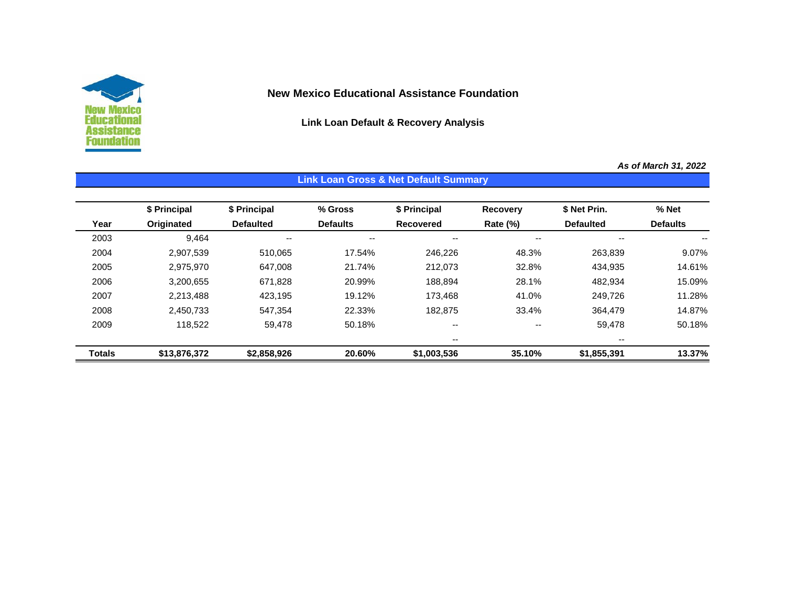

# **New Mexico Educational Assistance Foundation**

**Link Loan Default & Recovery Analysis**

**Link Loan Gross & Net Default Summary**

*As of March 31, 2022*

|               |              |                  |                 | Link Loan Gross & Net Default Summary |                 |                  |                 |
|---------------|--------------|------------------|-----------------|---------------------------------------|-----------------|------------------|-----------------|
|               | \$ Principal | \$ Principal     | % Gross         | \$ Principal                          | <b>Recovery</b> | \$ Net Prin.     | % Net           |
| Year          | Originated   | <b>Defaulted</b> | <b>Defaults</b> | <b>Recovered</b>                      | Rate (%)        | <b>Defaulted</b> | <b>Defaults</b> |
| 2003          | 9,464        | --               | --              | --                                    | --              | --               |                 |
| 2004          | 2,907,539    | 510,065          | 17.54%          | 246,226                               | 48.3%           | 263,839          | 9.07%           |
| 2005          | 2,975,970    | 647,008          | 21.74%          | 212,073                               | 32.8%           | 434,935          | 14.61%          |
| 2006          | 3,200,655    | 671,828          | 20.99%          | 188,894                               | 28.1%           | 482,934          | 15.09%          |
| 2007          | 2,213,488    | 423,195          | 19.12%          | 173,468                               | 41.0%           | 249,726          | 11.28%          |
| 2008          | 2,450,733    | 547,354          | 22.33%          | 182,875                               | 33.4%           | 364,479          | 14.87%          |
| 2009          | 118,522      | 59,478           | 50.18%          | $- -$                                 | $- -$           | 59,478           | 50.18%          |
|               |              |                  |                 | --                                    |                 | $- -$            |                 |
| <b>Totals</b> | \$13,876,372 | \$2,858,926      | 20.60%          | \$1,003,536                           | 35.10%          | \$1,855,391      | 13.37%          |